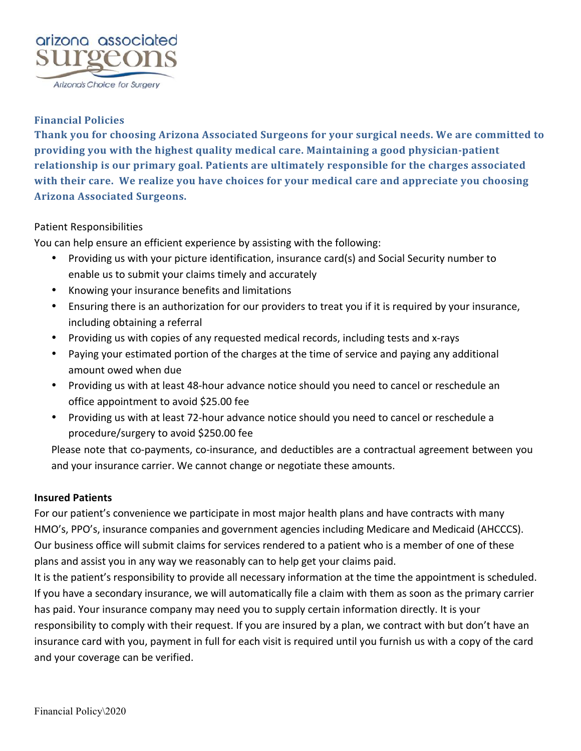

# **Financial Policies**

Thank you for choosing Arizona Associated Surgeons for your surgical needs. We are committed to **providing you with the highest quality medical care. Maintaining a good physician-patient** relationship is our primary goal. Patients are ultimately responsible for the charges associated with their care. We realize you have choices for your medical care and appreciate you choosing **Arizona Associated Surgeons.**

## Patient Responsibilities

You can help ensure an efficient experience by assisting with the following:

- Providing us with your picture identification, insurance card(s) and Social Security number to enable us to submit your claims timely and accurately
- Knowing your insurance benefits and limitations
- Ensuring there is an authorization for our providers to treat you if it is required by your insurance, including obtaining a referral
- Providing us with copies of any requested medical records, including tests and x-rays
- Paying your estimated portion of the charges at the time of service and paying any additional amount owed when due
- Providing us with at least 48-hour advance notice should you need to cancel or reschedule an office appointment to avoid \$25.00 fee
- Providing us with at least 72-hour advance notice should you need to cancel or reschedule a procedure/surgery to avoid \$250.00 fee

Please note that co-payments, co-insurance, and deductibles are a contractual agreement between you and your insurance carrier. We cannot change or negotiate these amounts.

### **Insured Patients**

For our patient's convenience we participate in most major health plans and have contracts with many HMO's, PPO's, insurance companies and government agencies including Medicare and Medicaid (AHCCCS). Our business office will submit claims for services rendered to a patient who is a member of one of these plans and assist you in any way we reasonably can to help get your claims paid.

It is the patient's responsibility to provide all necessary information at the time the appointment is scheduled. If you have a secondary insurance, we will automatically file a claim with them as soon as the primary carrier has paid. Your insurance company may need you to supply certain information directly. It is your responsibility to comply with their request. If you are insured by a plan, we contract with but don't have an insurance card with you, payment in full for each visit is required until you furnish us with a copy of the card and your coverage can be verified.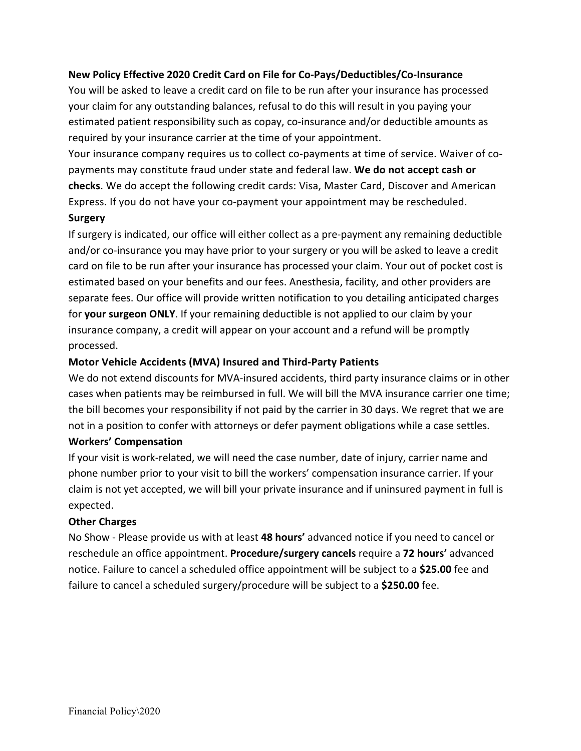# **New Policy Effective 2020 Credit Card on File for Co-Pays/Deductibles/Co-Insurance**

You will be asked to leave a credit card on file to be run after your insurance has processed your claim for any outstanding balances, refusal to do this will result in you paying your estimated patient responsibility such as copay, co-insurance and/or deductible amounts as required by your insurance carrier at the time of your appointment.

Your insurance company requires us to collect co-payments at time of service. Waiver of copayments may constitute fraud under state and federal law. We do not accept cash or **checks**. We do accept the following credit cards: Visa, Master Card, Discover and American Express. If you do not have your co-payment your appointment may be rescheduled.

## **Surgery**

If surgery is indicated, our office will either collect as a pre-payment any remaining deductible and/or co-insurance you may have prior to your surgery or you will be asked to leave a credit card on file to be run after your insurance has processed your claim. Your out of pocket cost is estimated based on your benefits and our fees. Anesthesia, facility, and other providers are separate fees. Our office will provide written notification to you detailing anticipated charges for **your surgeon ONLY**. If your remaining deductible is not applied to our claim by your insurance company, a credit will appear on your account and a refund will be promptly processed.

### **Motor Vehicle Accidents (MVA) Insured and Third-Party Patients**

We do not extend discounts for MVA-insured accidents, third party insurance claims or in other cases when patients may be reimbursed in full. We will bill the MVA insurance carrier one time; the bill becomes your responsibility if not paid by the carrier in 30 days. We regret that we are not in a position to confer with attorneys or defer payment obligations while a case settles.

### **Workers' Compensation**

If your visit is work-related, we will need the case number, date of injury, carrier name and phone number prior to your visit to bill the workers' compensation insurance carrier. If your claim is not yet accepted, we will bill your private insurance and if uninsured payment in full is expected.

### **Other Charges**

No Show - Please provide us with at least 48 hours' advanced notice if you need to cancel or reschedule an office appointment. **Procedure/surgery cancels** require a **72 hours'** advanced notice. Failure to cancel a scheduled office appointment will be subject to a \$25.00 fee and failure to cancel a scheduled surgery/procedure will be subject to a \$250.00 fee.